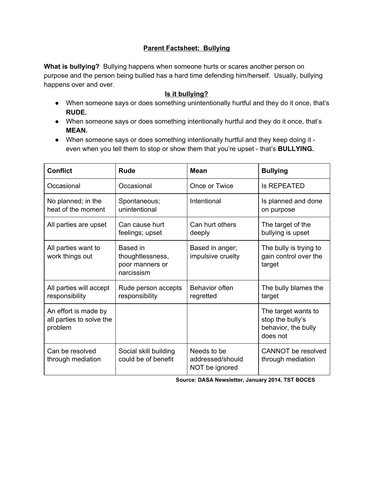## **Parent Factsheet: Bullying**

**What is bullying?** Bullying happens when someone hurts or scares another person on purpose and the person being bullied has a hard time defending him/herself. Usually, bullying happens over and over.

## **Is it bullying?**

- When someone says or does something unintentionally hurtful and they do it once, that's **RUDE.**
- When someone says or does something intentionally hurtful and they do it once, that's **MEAN.**
- When someone says or does something intentionally hurtful and they keep doing it even when you tell them to stop or show them that you're upset - that's **BULLYING.**

| <b>Conflict</b>                                             | Rude                                                          | Mean                                              | <b>Bullying</b>                                                            |
|-------------------------------------------------------------|---------------------------------------------------------------|---------------------------------------------------|----------------------------------------------------------------------------|
| Occasional                                                  | Occasional                                                    | Once or Twice                                     | <b>Is REPEATED</b>                                                         |
| No planned; in the<br>heat of the moment                    | Spontaneous;<br>unintentional                                 | Intentional                                       | Is planned and done<br>on purpose                                          |
| All parties are upset                                       | Can cause hurt<br>feelings; upset                             | Can hurt others<br>deeply                         | The target of the<br>bullying is upset                                     |
| All parties want to<br>work things out                      | Based in<br>thoughtlessness,<br>poor manners or<br>narcissism | Based in anger;<br>impulsive cruelty              | The bully is trying to<br>gain control over the<br>target                  |
| All parties will accept<br>responsibility                   | Rude person accepts<br>responsibility                         | Behavior often<br>regretted                       | The bully blames the<br>target                                             |
| An effort is made by<br>all parties to solve the<br>problem |                                                               |                                                   | The target wants to<br>stop the bully's<br>behavior, the bully<br>does not |
| Can be resolved<br>through mediation                        | Social skill building<br>could be of benefit                  | Needs to be<br>addressed/should<br>NOT be ignored | CANNOT be resolved<br>through mediation                                    |

**Source: DASA Newsletter, January 2014, TST BOCES**